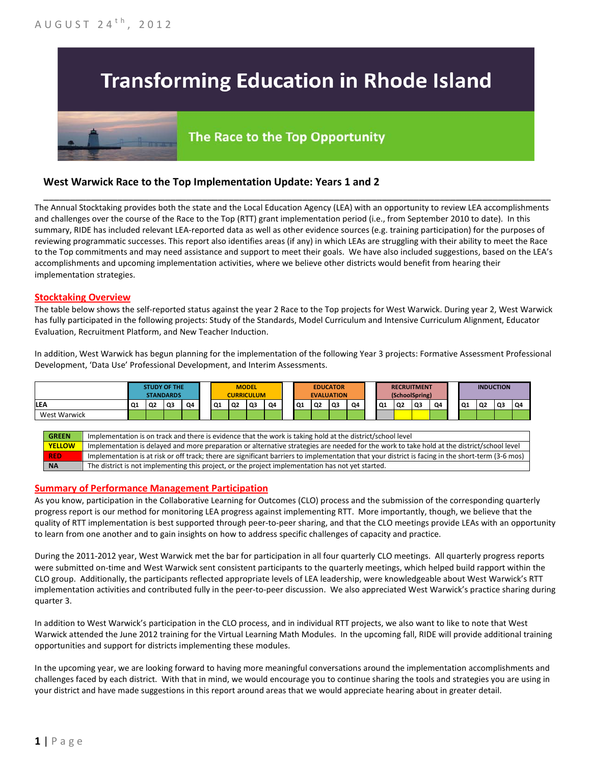# **Transforming Education in Rhode Island**

## The Race to the Top Opportunity

### **West Warwick Race to the Top Implementation Update: Years 1 and 2**

The Annual Stocktaking provides both the state and the Local Education Agency (LEA) with an opportunity to review LEA accomplishments and challenges over the course of the Race to the Top (RTT) grant implementation period (i.e., from September 2010 to date). In this summary, RIDE has included relevant LEA-reported data as well as other evidence sources (e.g. training participation) for the purposes of reviewing programmatic successes. This report also identifies areas (if any) in which LEAs are struggling with their ability to meet the Race to the Top commitments and may need assistance and support to meet their goals. We have also included suggestions, based on the LEA's accomplishments and upcoming implementation activities, where we believe other districts would benefit from hearing their implementation strategies.

\_\_\_\_\_\_\_\_\_\_\_\_\_\_\_\_\_\_\_\_\_\_\_\_\_\_\_\_\_\_\_\_\_\_\_\_\_\_\_\_\_\_\_\_\_\_\_\_\_\_\_\_\_\_\_\_\_\_\_\_\_\_\_\_\_\_\_\_\_\_\_\_\_\_\_\_\_\_\_\_\_\_\_\_\_\_\_\_\_\_\_\_\_\_\_\_

#### **Stocktaking Overview**

The table below shows the self-reported status against the year 2 Race to the Top projects for West Warwick. During year 2, West Warwick has fully participated in the following projects: Study of the Standards, Model Curriculum and Intensive Curriculum Alignment, Educator Evaluation, Recruitment Platform, and New Teacher Induction.

In addition, West Warwick has begun planning for the implementation of the following Year 3 projects: Formative Assessment Professional Development, 'Data Use' Professional Development, and Interim Assessments.



#### **Summary of Performance Management Participation**

As you know, participation in the Collaborative Learning for Outcomes (CLO) process and the submission of the corresponding quarterly progress report is our method for monitoring LEA progress against implementing RTT. More importantly, though, we believe that the quality of RTT implementation is best supported through peer-to-peer sharing, and that the CLO meetings provide LEAs with an opportunity to learn from one another and to gain insights on how to address specific challenges of capacity and practice.

During the 2011-2012 year, West Warwick met the bar for participation in all four quarterly CLO meetings. All quarterly progress reports were submitted on-time and West Warwick sent consistent participants to the quarterly meetings, which helped build rapport within the CLO group. Additionally, the participants reflected appropriate levels of LEA leadership, were knowledgeable about West Warwick's RTT implementation activities and contributed fully in the peer-to-peer discussion. We also appreciated West Warwick's practice sharing during quarter 3.

In addition to West Warwick's participation in the CLO process, and in individual RTT projects, we also want to like to note that West Warwick attended the June 2012 training for the Virtual Learning Math Modules. In the upcoming fall, RIDE will provide additional training opportunities and support for districts implementing these modules.

In the upcoming year, we are looking forward to having more meaningful conversations around the implementation accomplishments and challenges faced by each district. With that in mind, we would encourage you to continue sharing the tools and strategies you are using in your district and have made suggestions in this report around areas that we would appreciate hearing about in greater detail.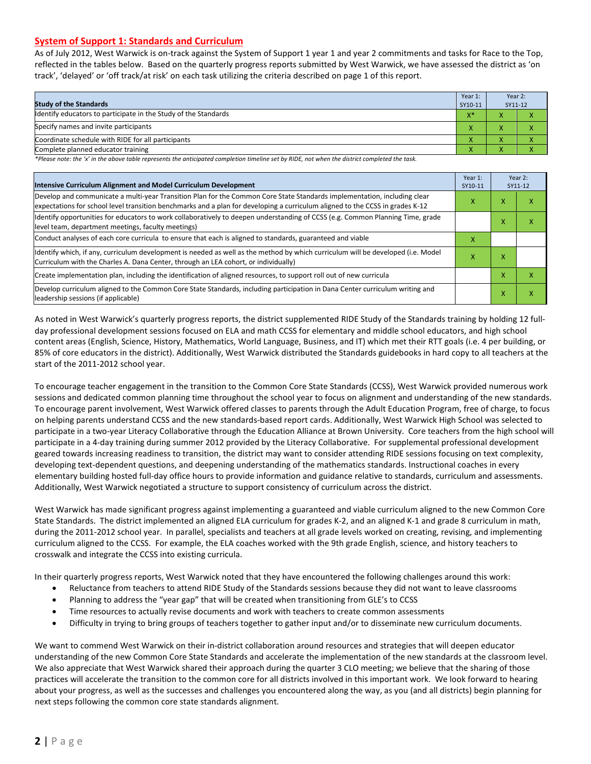#### **System of Support 1: Standards and Curriculum**

As of July 2012, West Warwick is on-track against the System of Support 1 year 1 and year 2 commitments and tasks for Race to the Top, reflected in the tables below. Based on the quarterly progress reports submitted by West Warwick, we have assessed the district as 'on track', 'delayed' or 'off track/at risk' on each task utilizing the criteria described on page 1 of this report.

| <b>Study of the Standards</b>                                   | Year 1:<br>SY10-11 | Year 2:<br>SY11-12 |  |
|-----------------------------------------------------------------|--------------------|--------------------|--|
| Identify educators to participate in the Study of the Standards | $X^*$              |                    |  |
| Specify names and invite participants                           |                    |                    |  |
| Coordinate schedule with RIDE for all participants              |                    |                    |  |
| Complete planned educator training                              | $\mathbf{v}$       | $\mathbf{v}$       |  |

*\*Please note: the 'x' in the above table represents the anticipated completion timeline set by RIDE, not when the district completed the task.*

| Intensive Curriculum Alignment and Model Curriculum Development                                                                                                                                                                                           |   |   | Year 2:<br>SY11-12 |
|-----------------------------------------------------------------------------------------------------------------------------------------------------------------------------------------------------------------------------------------------------------|---|---|--------------------|
| Develop and communicate a multi-year Transition Plan for the Common Core State Standards implementation, including clear<br>expectations for school level transition benchmarks and a plan for developing a curriculum aligned to the CCSS in grades K-12 |   |   | x                  |
| Identify opportunities for educators to work collaboratively to deepen understanding of CCSS (e.g. Common Planning Time, grade<br>level team, department meetings, faculty meetings)                                                                      |   | x | x                  |
| Conduct analyses of each core curricula to ensure that each is aligned to standards, guaranteed and viable                                                                                                                                                | х |   |                    |
| ldentify which, if any, curriculum development is needed as well as the method by which curriculum will be developed (i.e. Model<br>Curriculum with the Charles A. Dana Center, through an LEA cohort, or individually)                                   |   |   |                    |
| Create implementation plan, including the identification of aligned resources, to support roll out of new curricula                                                                                                                                       |   | x | x                  |
| Develop curriculum aligned to the Common Core State Standards, including participation in Dana Center curriculum writing and<br>leadership sessions (if applicable)                                                                                       |   | Χ | x                  |

As noted in West Warwick's quarterly progress reports, the district supplemented RIDE Study of the Standards training by holding 12 fullday professional development sessions focused on ELA and math CCSS for elementary and middle school educators, and high school content areas (English, Science, History, Mathematics, World Language, Business, and IT) which met their RTT goals (i.e. 4 per building, or 85% of core educators in the district). Additionally, West Warwick distributed the Standards guidebooks in hard copy to all teachers at the start of the 2011-2012 school year.

To encourage teacher engagement in the transition to the Common Core State Standards (CCSS), West Warwick provided numerous work sessions and dedicated common planning time throughout the school year to focus on alignment and understanding of the new standards. To encourage parent involvement, West Warwick offered classes to parents through the Adult Education Program, free of charge, to focus on helping parents understand CCSS and the new standards-based report cards. Additionally, West Warwick High School was selected to participate in a two-year Literacy Collaborative through the Education Alliance at Brown University. Core teachers from the high school will participate in a 4-day training during summer 2012 provided by the Literacy Collaborative. For supplemental professional development geared towards increasing readiness to transition, the district may want to consider attending RIDE sessions focusing on text complexity, developing text-dependent questions, and deepening understanding of the mathematics standards. Instructional coaches in every elementary building hosted full-day office hours to provide information and guidance relative to standards, curriculum and assessments. Additionally, West Warwick negotiated a structure to support consistency of curriculum across the district.

West Warwick has made significant progress against implementing a guaranteed and viable curriculum aligned to the new Common Core State Standards. The district implemented an aligned ELA curriculum for grades K-2, and an aligned K-1 and grade 8 curriculum in math, during the 2011-2012 school year. In parallel, specialists and teachers at all grade levels worked on creating, revising, and implementing curriculum aligned to the CCSS. For example, the ELA coaches worked with the 9th grade English, science, and history teachers to crosswalk and integrate the CCSS into existing curricula.

In their quarterly progress reports, West Warwick noted that they have encountered the following challenges around this work:

- Reluctance from teachers to attend RIDE Study of the Standards sessions because they did not want to leave classrooms
- Planning to address the "year gap" that will be created when transitioning from GLE's to CCSS
- Time resources to actually revise documents and work with teachers to create common assessments
- Difficulty in trying to bring groups of teachers together to gather input and/or to disseminate new curriculum documents.

We want to commend West Warwick on their in-district collaboration around resources and strategies that will deepen educator understanding of the new Common Core State Standards and accelerate the implementation of the new standards at the classroom level. We also appreciate that West Warwick shared their approach during the quarter 3 CLO meeting; we believe that the sharing of those practices will accelerate the transition to the common core for all districts involved in this important work. We look forward to hearing about your progress, as well as the successes and challenges you encountered along the way, as you (and all districts) begin planning for next steps following the common core state standards alignment.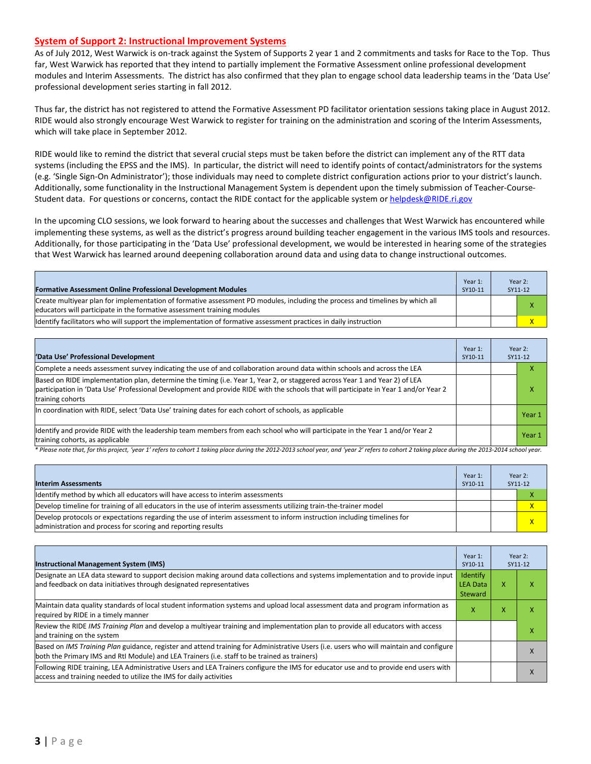#### **System of Support 2: Instructional Improvement Systems**

As of July 2012, West Warwick is on-track against the System of Supports 2 year 1 and 2 commitments and tasks for Race to the Top. Thus far, West Warwick has reported that they intend to partially implement the Formative Assessment online professional development modules and Interim Assessments. The district has also confirmed that they plan to engage school data leadership teams in the 'Data Use' professional development series starting in fall 2012.

Thus far, the district has not registered to attend the Formative Assessment PD facilitator orientation sessions taking place in August 2012. RIDE would also strongly encourage West Warwick to register for training on the administration and scoring of the Interim Assessments, which will take place in September 2012.

RIDE would like to remind the district that several crucial steps must be taken before the district can implement any of the RTT data systems (including the EPSS and the IMS). In particular, the district will need to identify points of contact/administrators for the systems (e.g. 'Single Sign-On Administrator'); those individuals may need to complete district configuration actions prior to your district's launch. Additionally, some functionality in the Instructional Management System is dependent upon the timely submission of Teacher-CourseStudent data. For questions or concerns, contact the RIDE contact for the applicable system o[r helpdesk@RIDE.ri.gov](mailto:helpdesk@RIDE.ri.gov)

In the upcoming CLO sessions, we look forward to hearing about the successes and challenges that West Warwick has encountered while implementing these systems, as well as the district's progress around building teacher engagement in the various IMS tools and resources. Additionally, for those participating in the 'Data Use' professional development, we would be interested in hearing some of the strategies that West Warwick has learned around deepening collaboration around data and using data to change instructional outcomes.

| <b>Formative Assessment Online Professional Development Modules</b>                                                                                                                                      | Year 1:<br>SY10-11 | Year 2:<br>SY11-12 |
|----------------------------------------------------------------------------------------------------------------------------------------------------------------------------------------------------------|--------------------|--------------------|
| Create multivear plan for implementation of formative assessment PD modules, including the process and timelines by which all<br>educators will participate in the formative assessment training modules |                    |                    |
| ldentify facilitators who will support the implementation of formative assessment practices in daily instruction                                                                                         |                    |                    |

| 'Data Use' Professional Development                                                                                                                                                                                                                                                     | Year 1:<br>SY10-11 | Year 2:<br>SY11-12 |
|-----------------------------------------------------------------------------------------------------------------------------------------------------------------------------------------------------------------------------------------------------------------------------------------|--------------------|--------------------|
| Complete a needs assessment survey indicating the use of and collaboration around data within schools and across the LEA                                                                                                                                                                |                    | $\lambda$          |
| Based on RIDE implementation plan, determine the timing (i.e. Year 1, Year 2, or staggered across Year 1 and Year 2) of LEA<br>participation in 'Data Use' Professional Development and provide RIDE with the schools that will participate in Year 1 and/or Year 2<br>training cohorts |                    | x                  |
| In coordination with RIDE, select 'Data Use' training dates for each cohort of schools, as applicable                                                                                                                                                                                   |                    | Year 1             |
| Identify and provide RIDE with the leadership team members from each school who will participate in the Year 1 and/or Year 2<br>training cohorts, as applicable                                                                                                                         |                    | Year 1             |

*\* Please note that, for this project, 'year 1' refers to cohort 1 taking place during the 2012-2013 school year, and 'year 2' refers to cohort 2 taking place during the 2013-2014 school year.*

| <b>Interim Assessments</b>                                                                                                                                                              | Year 1:<br>SY10-11 | Year 2:<br>SY11-12 |
|-----------------------------------------------------------------------------------------------------------------------------------------------------------------------------------------|--------------------|--------------------|
| Identify method by which all educators will have access to interim assessments                                                                                                          |                    |                    |
| Develop timeline for training of all educators in the use of interim assessments utilizing train-the-trainer model                                                                      |                    | $\mathsf{x}$       |
| Develop protocols or expectations regarding the use of interim assessment to inform instruction including timelines for<br>administration and process for scoring and reporting results |                    | $\mathsf{x}$       |

| <b>Instructional Management System (IMS)</b>                                                                                                                                                                                           | Year 1:<br>SY10-11                     |   | Year 2:<br>SY11-12 |
|----------------------------------------------------------------------------------------------------------------------------------------------------------------------------------------------------------------------------------------|----------------------------------------|---|--------------------|
| Designate an LEA data steward to support decision making around data collections and systems implementation and to provide input<br>and feedback on data initiatives through designated representatives                                | Identify<br><b>LEA Data</b><br>Steward | x | χ                  |
| Maintain data quality standards of local student information systems and upload local assessment data and program information as<br>required by RIDE in a timely manner                                                                | X                                      | x | χ                  |
| Review the RIDE IMS Training Plan and develop a multivear training and implementation plan to provide all educators with access<br>and training on the system                                                                          |                                        |   |                    |
| Based on IMS Training Plan guidance, register and attend training for Administrative Users (i.e. users who will maintain and configure<br>both the Primary IMS and RtI Module) and LEA Trainers (i.e. staff to be trained as trainers) |                                        |   |                    |
| Following RIDE training, LEA Administrative Users and LEA Trainers configure the IMS for educator use and to provide end users with<br>access and training needed to utilize the IMS for daily activities                              |                                        |   | ⋏                  |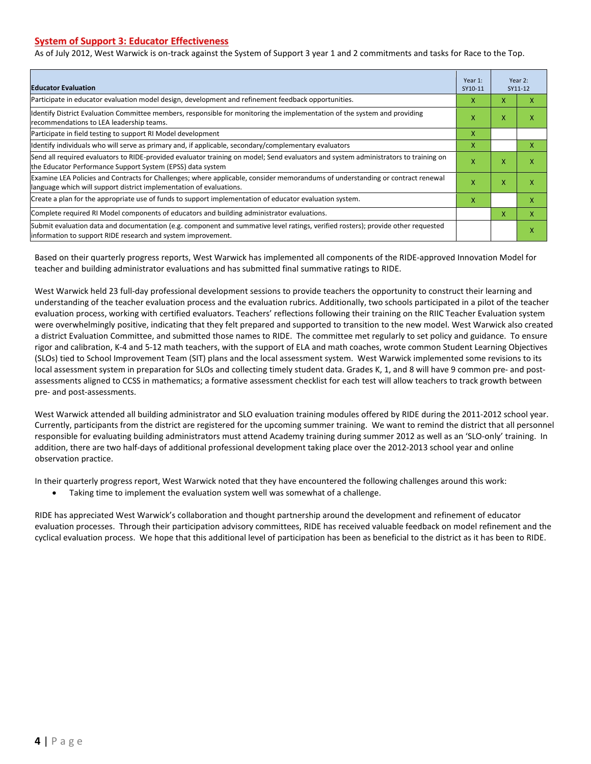#### **System of Support 3: Educator Effectiveness**

As of July 2012, West Warwick is on-track against the System of Support 3 year 1 and 2 commitments and tasks for Race to the Top.

| <b>Educator Evaluation</b>                                                                                                                                                                            |   |   | Year 2:<br>SY11-12 |
|-------------------------------------------------------------------------------------------------------------------------------------------------------------------------------------------------------|---|---|--------------------|
| Participate in educator evaluation model design, development and refinement feedback opportunities.                                                                                                   |   | X | x                  |
| Identify District Evaluation Committee members, responsible for monitoring the implementation of the system and providing<br>recommendations to LEA leadership teams.                                 | X | X | χ                  |
| Participate in field testing to support RI Model development                                                                                                                                          | x |   |                    |
| ldentify individuals who will serve as primary and, if applicable, secondary/complementary evaluators                                                                                                 | x |   | x                  |
| Send all required evaluators to RIDE-provided evaluator training on model; Send evaluators and system administrators to training on<br>the Educator Performance Support System (EPSS) data system     | X | X | x                  |
| Examine LEA Policies and Contracts for Challenges; where applicable, consider memorandums of understanding or contract renewal<br>language which will support district implementation of evaluations. |   | X | χ                  |
| Create a plan for the appropriate use of funds to support implementation of educator evaluation system.                                                                                               |   |   | x                  |
| Complete required RI Model components of educators and building administrator evaluations.                                                                                                            |   |   | x                  |
| Submit evaluation data and documentation (e.g. component and summative level ratings, verified rosters); provide other requested<br>information to support RIDE research and system improvement.      |   |   | χ                  |

Based on their quarterly progress reports, West Warwick has implemented all components of the RIDE-approved Innovation Model for teacher and building administrator evaluations and has submitted final summative ratings to RIDE.

West Warwick held 23 full-day professional development sessions to provide teachers the opportunity to construct their learning and understanding of the teacher evaluation process and the evaluation rubrics. Additionally, two schools participated in a pilot of the teacher evaluation process, working with certified evaluators. Teachers' reflections following their training on the RIIC Teacher Evaluation system were overwhelmingly positive, indicating that they felt prepared and supported to transition to the new model. West Warwick also created a district Evaluation Committee, and submitted those names to RIDE. The committee met regularly to set policy and guidance. To ensure rigor and calibration, K-4 and 5-12 math teachers, with the support of ELA and math coaches, wrote common Student Learning Objectives (SLOs) tied to School Improvement Team (SIT) plans and the local assessment system. West Warwick implemented some revisions to its local assessment system in preparation for SLOs and collecting timely student data. Grades K, 1, and 8 will have 9 common pre- and postassessments aligned to CCSS in mathematics; a formative assessment checklist for each test will allow teachers to track growth between pre- and post-assessments.

West Warwick attended all building administrator and SLO evaluation training modules offered by RIDE during the 2011-2012 school year. Currently, participants from the district are registered for the upcoming summer training. We want to remind the district that all personnel responsible for evaluating building administrators must attend Academy training during summer 2012 as well as an 'SLO-only' training. In addition, there are two half-days of additional professional development taking place over the 2012-2013 school year and online observation practice.

In their quarterly progress report, West Warwick noted that they have encountered the following challenges around this work:

Taking time to implement the evaluation system well was somewhat of a challenge.

RIDE has appreciated West Warwick's collaboration and thought partnership around the development and refinement of educator evaluation processes. Through their participation advisory committees, RIDE has received valuable feedback on model refinement and the cyclical evaluation process. We hope that this additional level of participation has been as beneficial to the district as it has been to RIDE.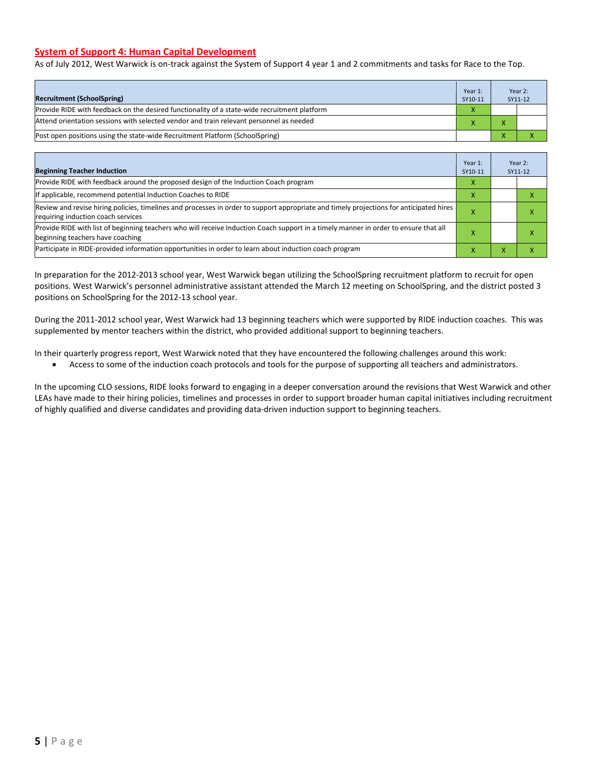#### **System of Support 4: Human Capital Development**

As of July 2012, West Warwick is on-track against the System of Support 4 year 1 and 2 commitments and tasks for Race to the Top.

| <b>Recruitment (SchoolSpring)</b>                                                            | Year 1:<br>SY10-11 | Year 2:<br>SY11-12 |
|----------------------------------------------------------------------------------------------|--------------------|--------------------|
| Provide RIDE with feedback on the desired functionality of a state-wide recruitment platform |                    |                    |
| Attend orientation sessions with selected vendor and train relevant personnel as needed      |                    |                    |
| [Post open positions using the state-wide Recruitment Platform (SchoolSpring)                |                    |                    |

| <b>Beginning Teacher Induction</b>                                                                                                                                            | Year 1:<br>SY10-11 |   | Year 2:<br>SY11-12 |
|-------------------------------------------------------------------------------------------------------------------------------------------------------------------------------|--------------------|---|--------------------|
| Provide RIDE with feedback around the proposed design of the Induction Coach program                                                                                          |                    |   |                    |
| If applicable, recommend potential Induction Coaches to RIDE                                                                                                                  |                    |   |                    |
| Review and revise hiring policies, timelines and processes in order to support appropriate and timely projections for anticipated hires<br>requiring induction coach services |                    |   | ⋏                  |
| Provide RIDE with list of beginning teachers who will receive Induction Coach support in a timely manner in order to ensure that all<br>beginning teachers have coaching      |                    |   |                    |
| Participate in RIDE-provided information opportunities in order to learn about induction coach program                                                                        | ⋏                  | х |                    |

In preparation for the 2012-2013 school year, West Warwick began utilizing the SchoolSpring recruitment platform to recruit for open positions. West Warwick's personnel administrative assistant attended the March 12 meeting on SchoolSpring, and the district posted 3 positions on SchoolSpring for the 2012-13 school year.

During the 2011-2012 school year, West Warwick had 13 beginning teachers which were supported by RIDE induction coaches. This was supplemented by mentor teachers within the district, who provided additional support to beginning teachers.

In their quarterly progress report, West Warwick noted that they have encountered the following challenges around this work:

• Access to some of the induction coach protocols and tools for the purpose of supporting all teachers and administrators.

In the upcoming CLO sessions, RIDE looks forward to engaging in a deeper conversation around the revisions that West Warwick and other LEAs have made to their hiring policies, timelines and processes in order to support broader human capital initiatives including recruitment of highly qualified and diverse candidates and providing data-driven induction support to beginning teachers.